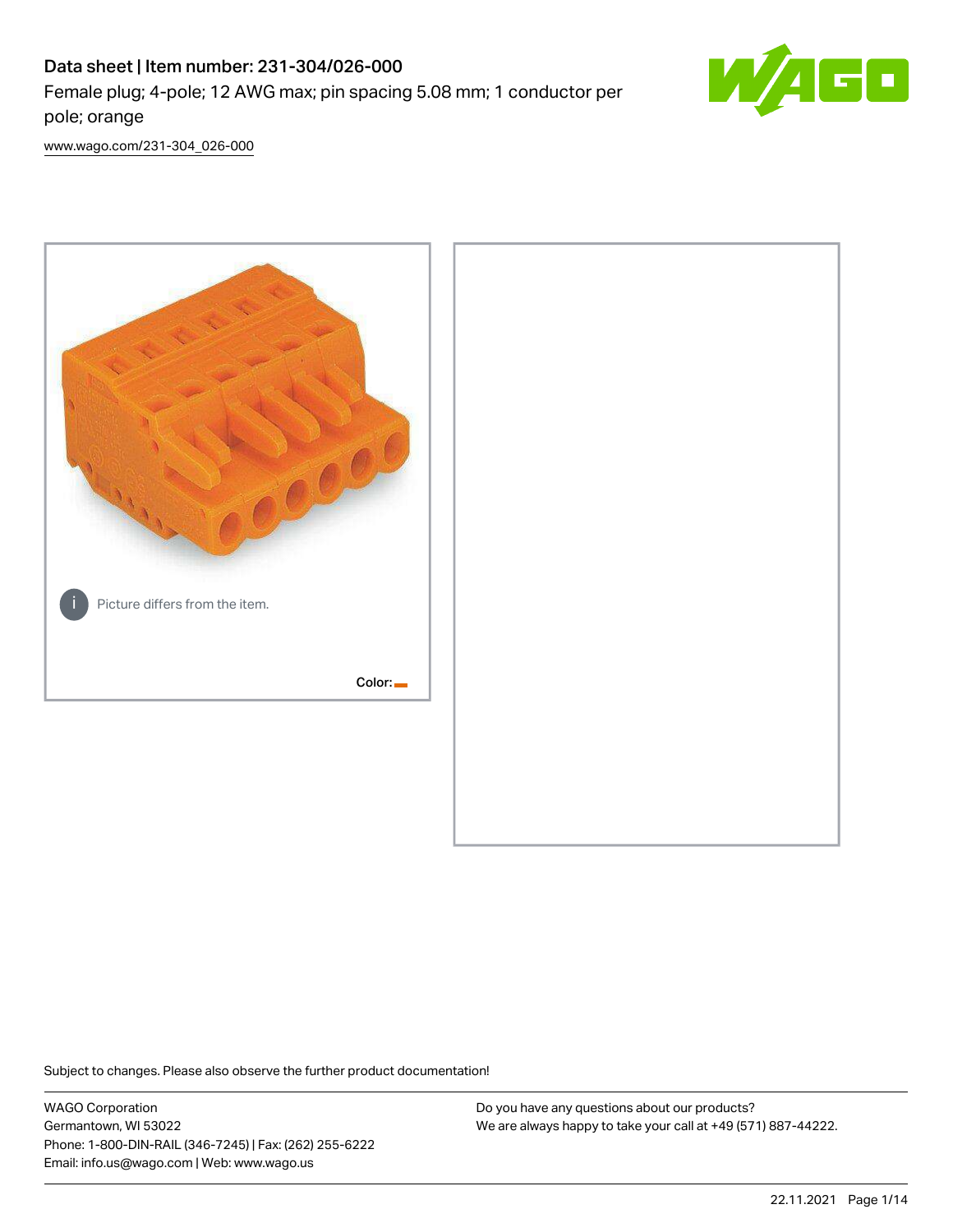# Data sheet | Item number: 231-304/026-000

Female plug; 4-pole; 12 AWG max; pin spacing 5.08 mm; 1 conductor per pole; orange



[www.wago.com/231-304\\_026-000](http://www.wago.com/231-304_026-000)



Subject to changes. Please also observe the further product documentation!

WAGO Corporation Germantown, WI 53022 Phone: 1-800-DIN-RAIL (346-7245) | Fax: (262) 255-6222 Email: info.us@wago.com | Web: www.wago.us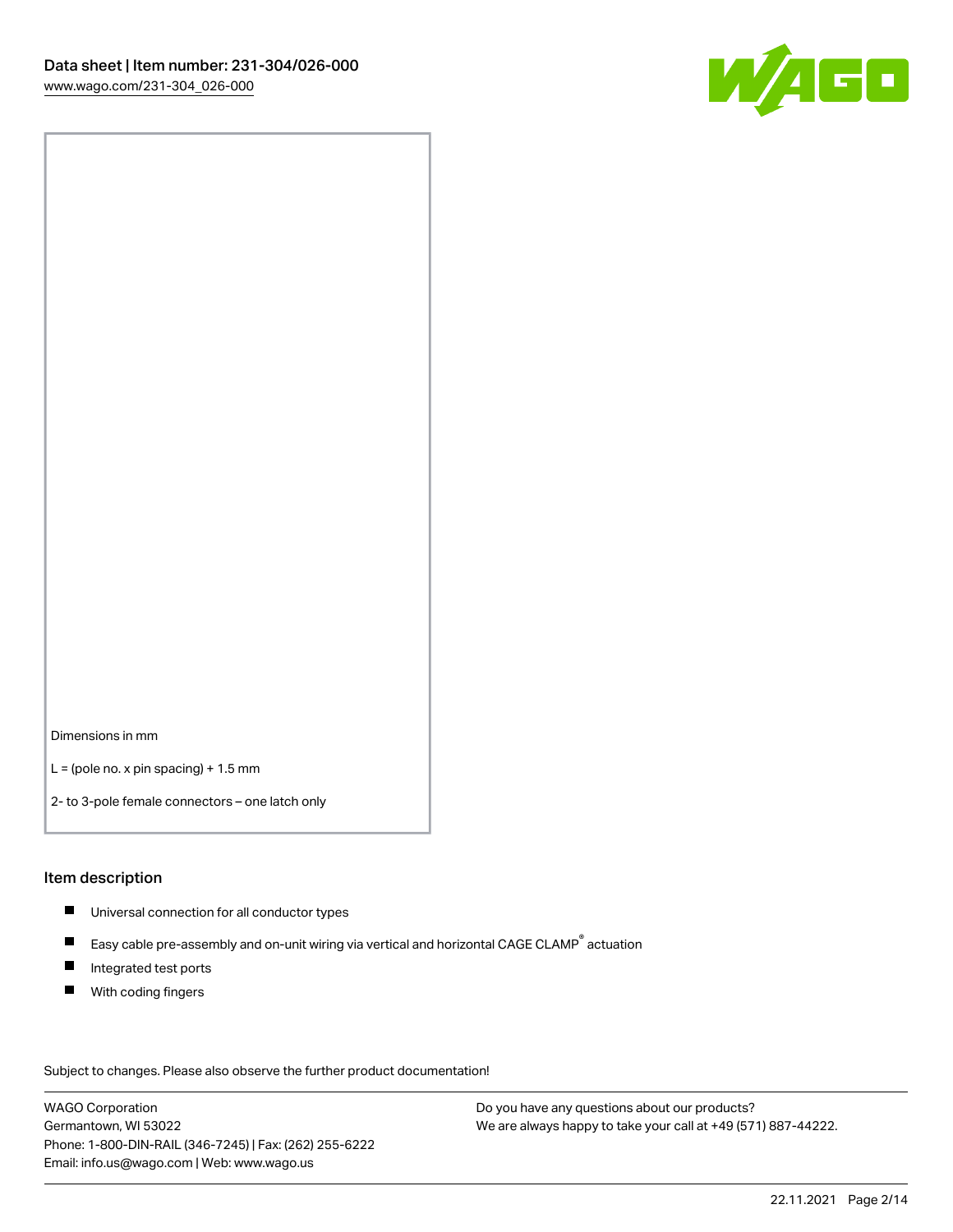

Dimensions in mm

 $L =$  (pole no. x pin spacing) + 1.5 mm

2- to 3-pole female connectors – one latch only

#### Item description

- **Universal connection for all conductor types**
- Easy cable pre-assembly and on-unit wiring via vertical and horizontal CAGE CLAMP<sup>®</sup> actuation  $\blacksquare$
- $\blacksquare$ Integrated test ports
- $\blacksquare$ With coding fingers

Subject to changes. Please also observe the further product documentation! Data

WAGO Corporation Germantown, WI 53022 Phone: 1-800-DIN-RAIL (346-7245) | Fax: (262) 255-6222 Email: info.us@wago.com | Web: www.wago.us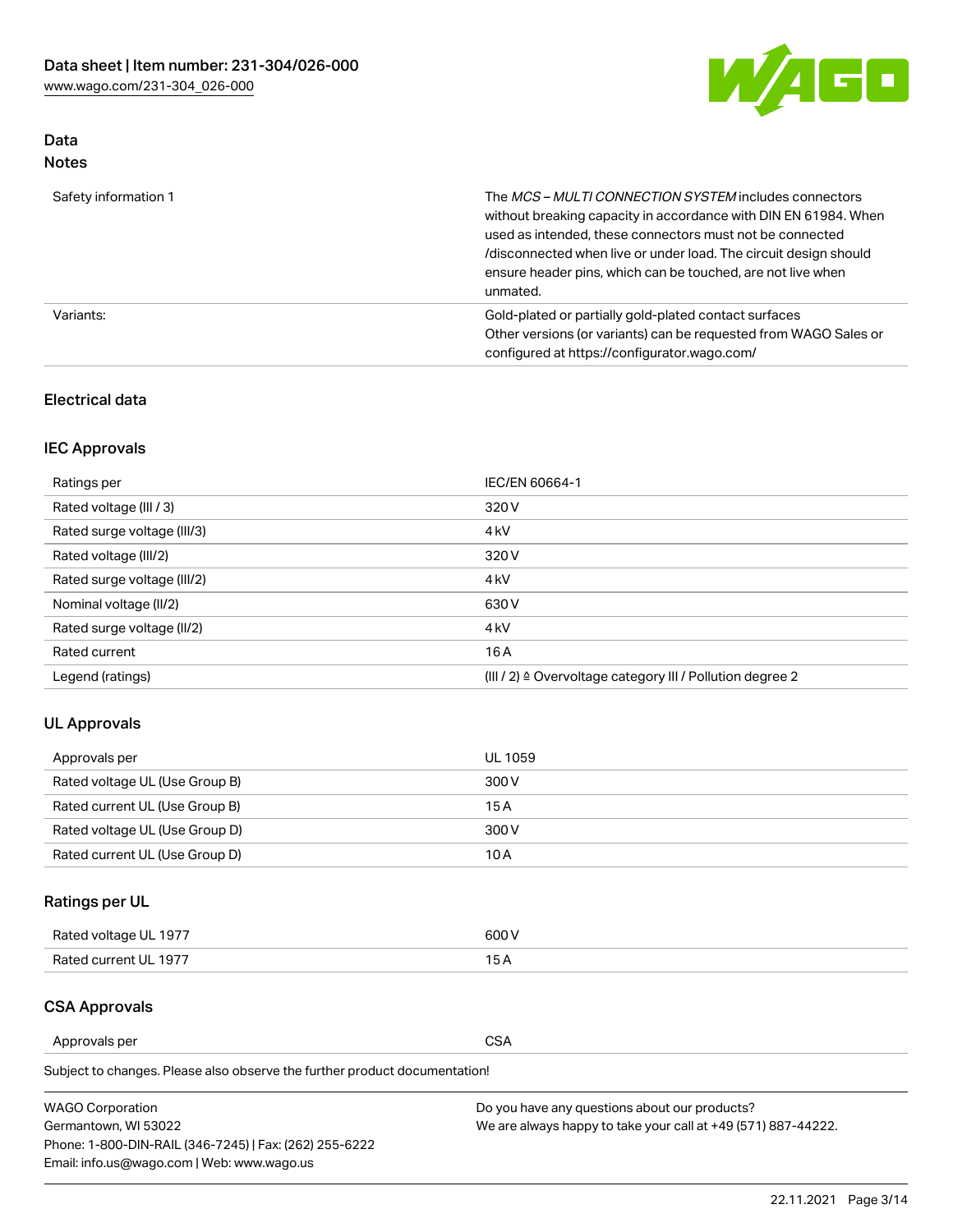

# Data Notes

| Safety information 1 | The MCS-MULTI CONNECTION SYSTEM includes connectors<br>without breaking capacity in accordance with DIN EN 61984. When<br>used as intended, these connectors must not be connected<br>/disconnected when live or under load. The circuit design should<br>ensure header pins, which can be touched, are not live when<br>unmated. |
|----------------------|-----------------------------------------------------------------------------------------------------------------------------------------------------------------------------------------------------------------------------------------------------------------------------------------------------------------------------------|
| Variants:            | Gold-plated or partially gold-plated contact surfaces<br>Other versions (or variants) can be requested from WAGO Sales or<br>configured at https://configurator.wago.com/                                                                                                                                                         |

## Electrical data

# IEC Approvals

| Ratings per                 | IEC/EN 60664-1                                                        |
|-----------------------------|-----------------------------------------------------------------------|
| Rated voltage (III / 3)     | 320 V                                                                 |
| Rated surge voltage (III/3) | 4 <sub>k</sub> V                                                      |
| Rated voltage (III/2)       | 320 V                                                                 |
| Rated surge voltage (III/2) | 4 <sub>k</sub> V                                                      |
| Nominal voltage (II/2)      | 630 V                                                                 |
| Rated surge voltage (II/2)  | 4 <sub>k</sub> V                                                      |
| Rated current               | 16 A                                                                  |
| Legend (ratings)            | $(III / 2)$ $\triangle$ Overvoltage category III / Pollution degree 2 |

# UL Approvals

| Approvals per                  | UL 1059 |
|--------------------------------|---------|
| Rated voltage UL (Use Group B) | 300 V   |
| Rated current UL (Use Group B) | 15 A    |
| Rated voltage UL (Use Group D) | 300 V   |
| Rated current UL (Use Group D) | 10 A    |

# Ratings per UL

| Rated voltage UL 1977 | 300 V |
|-----------------------|-------|
| Rated current UL 1977 |       |

## CSA Approvals

Approvals per CSA

Subject to changes. Please also observe the further product documentation!

| <b>WAGO Corporation</b>                                | Do you have any questions about our products?                 |
|--------------------------------------------------------|---------------------------------------------------------------|
| Germantown, WI 53022                                   | We are always happy to take your call at +49 (571) 887-44222. |
| Phone: 1-800-DIN-RAIL (346-7245)   Fax: (262) 255-6222 |                                                               |
| Email: info.us@wago.com   Web: www.wago.us             |                                                               |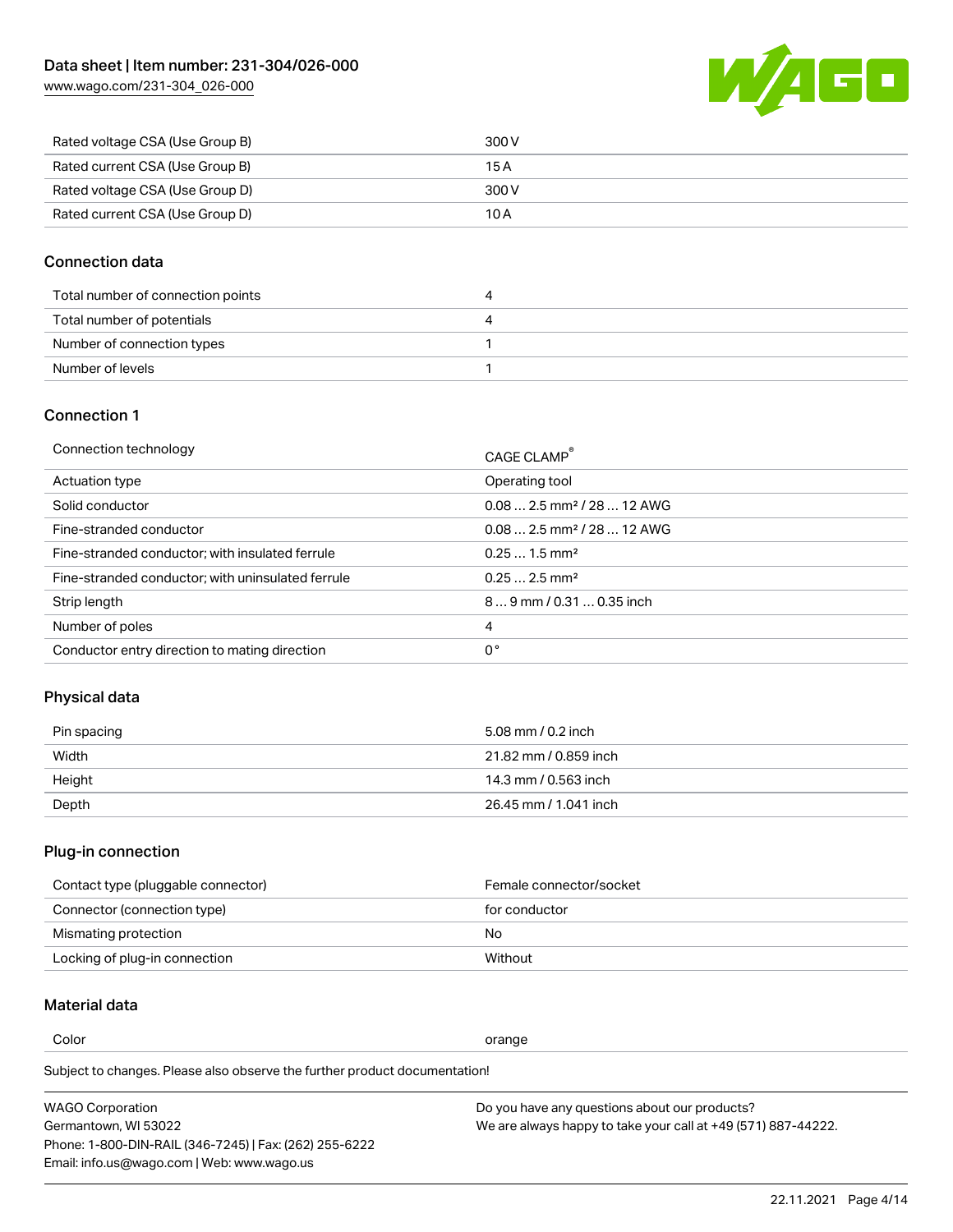[www.wago.com/231-304\\_026-000](http://www.wago.com/231-304_026-000)



| Rated voltage CSA (Use Group B) | 300 V |
|---------------------------------|-------|
| Rated current CSA (Use Group B) | 15 A  |
| Rated voltage CSA (Use Group D) | 300 V |
| Rated current CSA (Use Group D) | 10 A  |

## Connection data

| Total number of connection points | 4 |
|-----------------------------------|---|
| Total number of potentials        | 4 |
| Number of connection types        |   |
| Number of levels                  |   |

## Connection 1

| Connection technology                             | CAGE CLAMP <sup>®</sup>                |
|---------------------------------------------------|----------------------------------------|
| Actuation type                                    | Operating tool                         |
| Solid conductor                                   | $0.082.5$ mm <sup>2</sup> / 28  12 AWG |
| Fine-stranded conductor                           | $0.082.5$ mm <sup>2</sup> / 28  12 AWG |
| Fine-stranded conductor; with insulated ferrule   | $0.251.5$ mm <sup>2</sup>              |
| Fine-stranded conductor; with uninsulated ferrule | $0.252.5$ mm <sup>2</sup>              |
| Strip length                                      | 89 mm / 0.31  0.35 inch                |
| Number of poles                                   | 4                                      |
| Conductor entry direction to mating direction     | 0°                                     |

# Physical data

| Pin spacing | 5.08 mm / 0.2 inch    |
|-------------|-----------------------|
| Width       | 21.82 mm / 0.859 inch |
| Height      | 14.3 mm / 0.563 inch  |
| Depth       | 26.45 mm / 1.041 inch |

# Plug-in connection

| Contact type (pluggable connector) | Female connector/socket |
|------------------------------------|-------------------------|
| Connector (connection type)        | for conductor           |
| Mismating protection               | No                      |
| Locking of plug-in connection      | Without                 |

# Material data

Color contracts and contracts of the contracts of the contracts of the contracts of the contracts of the contracts of the contracts of the contracts of the contracts of the contracts of the contracts of the contracts of th

Subject to changes. Please also observe the further product documentation! Material group I

| <b>WAGO Corporation</b>                                | Do you have any questions about our products?                 |
|--------------------------------------------------------|---------------------------------------------------------------|
| Germantown, WI 53022                                   | We are always happy to take your call at +49 (571) 887-44222. |
| Phone: 1-800-DIN-RAIL (346-7245)   Fax: (262) 255-6222 |                                                               |
| Email: info.us@wago.com   Web: www.wago.us             |                                                               |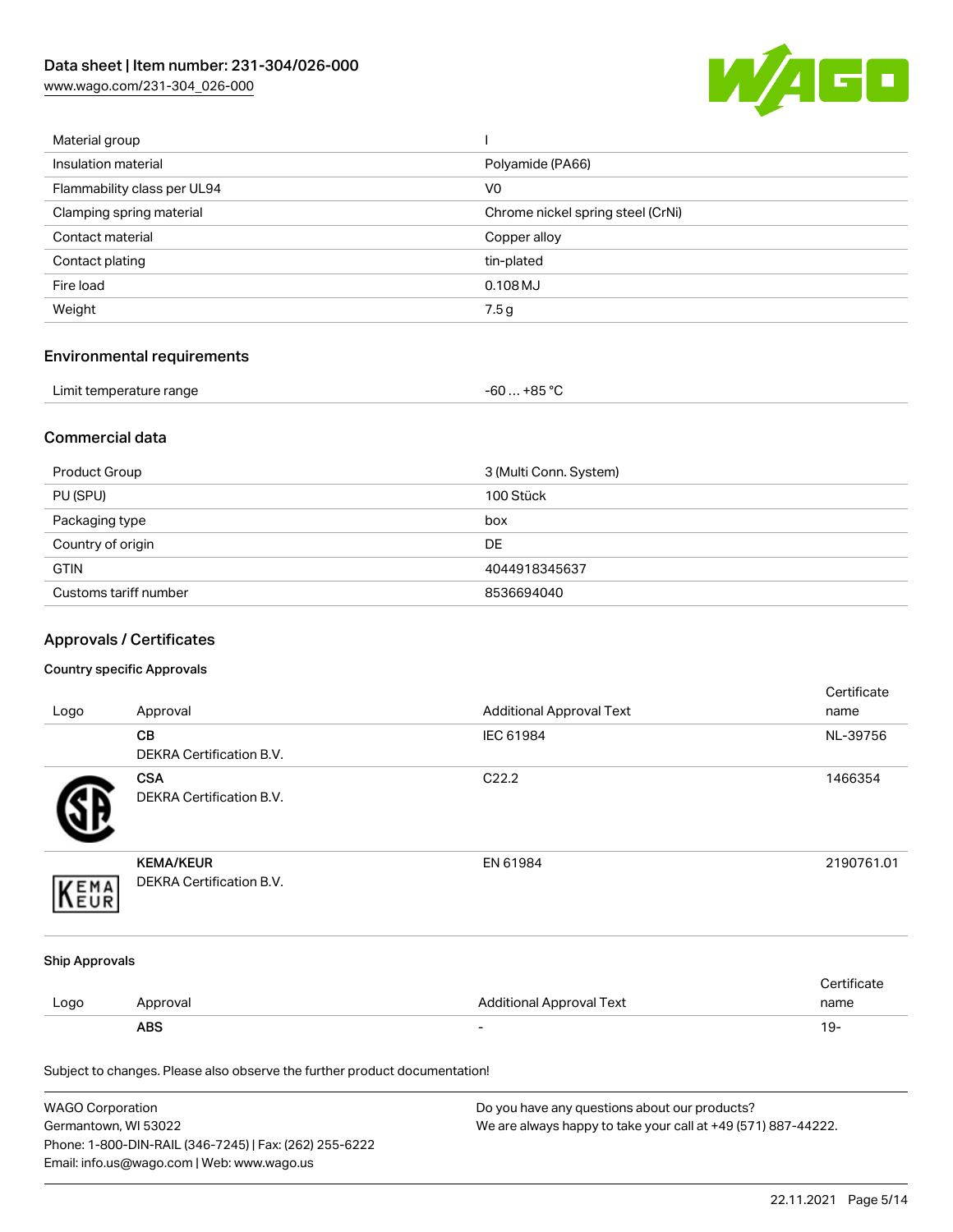[www.wago.com/231-304\\_026-000](http://www.wago.com/231-304_026-000)



| Material group              |                                   |
|-----------------------------|-----------------------------------|
| Insulation material         | Polyamide (PA66)                  |
| Flammability class per UL94 | V <sub>0</sub>                    |
| Clamping spring material    | Chrome nickel spring steel (CrNi) |
| Contact material            | Copper alloy                      |
| Contact plating             | tin-plated                        |
| Fire load                   | $0.108$ MJ                        |
| Weight                      | 7.5g                              |
|                             |                                   |

# Environmental requirements

| Limit temperature range | $-60+85 °C$ |  |
|-------------------------|-------------|--|
|-------------------------|-------------|--|

## Commercial data

| Product Group         | 3 (Multi Conn. System) |
|-----------------------|------------------------|
| PU (SPU)              | 100 Stück              |
| Packaging type        | box                    |
| Country of origin     | <b>DE</b>              |
| <b>GTIN</b>           | 4044918345637          |
| Customs tariff number | 8536694040             |

# Approvals / Certificates

### Country specific Approvals

| Logo                                                                       | Approval                                      | <b>Additional Approval Text</b> | Certificate<br>name |
|----------------------------------------------------------------------------|-----------------------------------------------|---------------------------------|---------------------|
|                                                                            | CВ<br>DEKRA Certification B.V.                | IEC 61984                       | NL-39756            |
|                                                                            | <b>CSA</b><br><b>DEKRA Certification B.V.</b> | C22.2                           | 1466354             |
| EMA                                                                        | <b>KEMA/KEUR</b><br>DEKRA Certification B.V.  | EN 61984                        | 2190761.01          |
| <b>Ship Approvals</b>                                                      |                                               |                                 |                     |
| Logo                                                                       | Approval                                      | <b>Additional Approval Text</b> | Certificate<br>name |
|                                                                            | <b>ABS</b>                                    |                                 | $19 -$              |
| Subject to changes. Please also observe the further product documentation! |                                               |                                 |                     |

| WAGO Corporation                                       | Do you have any questions about our products?                 |
|--------------------------------------------------------|---------------------------------------------------------------|
| Germantown, WI 53022                                   | We are always happy to take your call at +49 (571) 887-44222. |
| Phone: 1-800-DIN-RAIL (346-7245)   Fax: (262) 255-6222 |                                                               |
| Email: info.us@wago.com   Web: www.wago.us             |                                                               |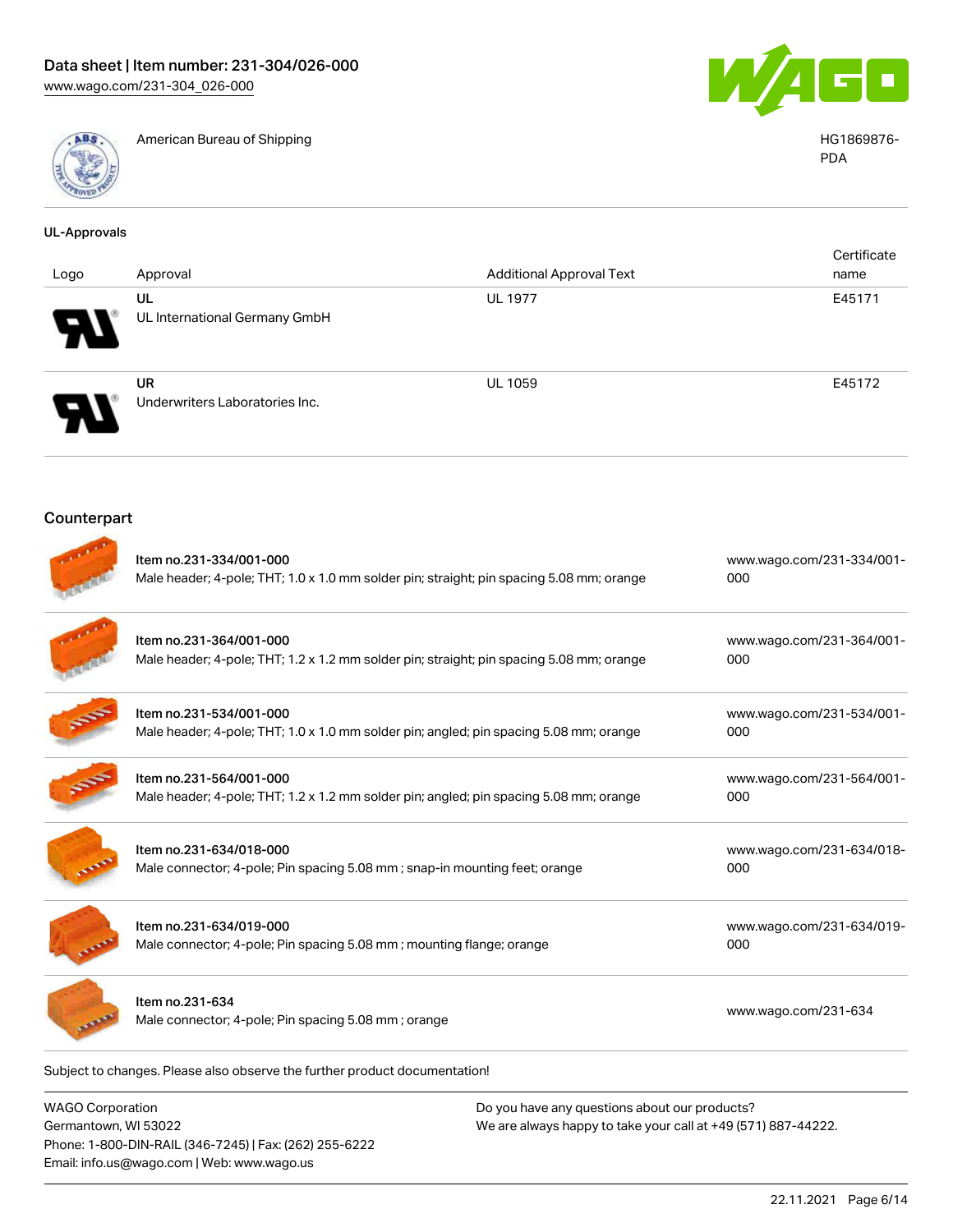

American Bureau of Shipping HG1869876-



PDA

| <b>UL-Approvals</b> |                                                                                                                     |                                 |                                  |
|---------------------|---------------------------------------------------------------------------------------------------------------------|---------------------------------|----------------------------------|
| Logo                | Approval                                                                                                            | <b>Additional Approval Text</b> | Certificate<br>name              |
|                     | UL<br>UL International Germany GmbH                                                                                 | <b>UL 1977</b>                  | E45171                           |
|                     | <b>UR</b><br>Underwriters Laboratories Inc.                                                                         | <b>UL 1059</b>                  | E45172                           |
| Counterpart         |                                                                                                                     |                                 |                                  |
|                     | Item no.231-334/001-000<br>Male header; 4-pole; THT; 1.0 x 1.0 mm solder pin; straight; pin spacing 5.08 mm; orange |                                 | www.wago.com/231-334/001-<br>000 |
|                     | Item no.231-364/001-000<br>Male header; 4-pole; THT; 1.2 x 1.2 mm solder pin; straight; pin spacing 5.08 mm; orange |                                 | www.wago.com/231-364/001-<br>000 |
|                     | Item no.231-534/001-000<br>Male header; 4-pole; THT; 1.0 x 1.0 mm solder pin; angled; pin spacing 5.08 mm; orange   |                                 | www.wago.com/231-534/001-<br>000 |
|                     | Item no.231-564/001-000<br>Male header; 4-pole; THT; 1.2 x 1.2 mm solder pin; angled; pin spacing 5.08 mm; orange   |                                 | www.wago.com/231-564/001-<br>000 |
|                     | Item no.231-634/018-000<br>Male connector; 4-pole; Pin spacing 5.08 mm; snap-in mounting feet; orange               |                                 | www.wago.com/231-634/018-<br>000 |
|                     | Item no.231-634/019-000<br>Male connector; 4-pole; Pin spacing 5.08 mm; mounting flange; orange                     |                                 | www.wago.com/231-634/019-<br>000 |
|                     | Item no.231-634<br>Male connector; 4-pole; Pin spacing 5.08 mm; orange                                              |                                 | www.wago.com/231-634             |

WAGO Corporation Germantown, WI 53022 Phone: 1-800-DIN-RAIL (346-7245) | Fax: (262) 255-6222 Email: info.us@wago.com | Web: www.wago.us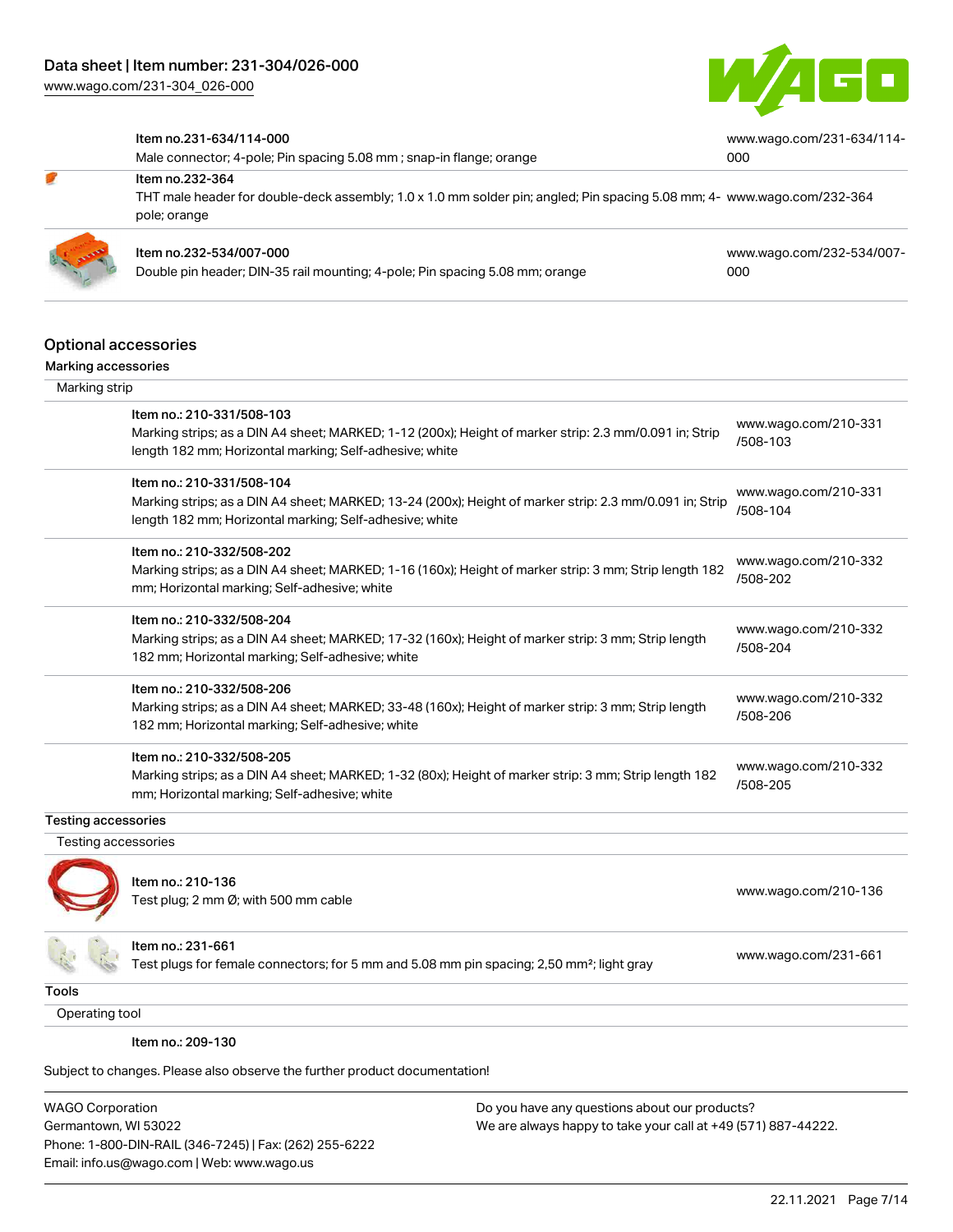

[www.wago.com/231-634/114-](https://www.wago.com/231-634/114-000)

[000](https://www.wago.com/231-634/114-000)

#### Item no.231-634/114-000

Item no.232-364

Male connector; 4-pole; Pin spacing 5.08 mm ; snap-in flange; orange

THT male header for double-deck assembly; 1.0 x 1.0 mm solder pin; angled; Pin spacing 5.08 mm; 4- [www.wago.com/232-364](https://www.wago.com/232-364) pole; orange



## Item no.232-534/007-000

Double pin header; DIN-35 rail mounting; 4-pole; Pin spacing 5.08 mm; orange

[www.wago.com/232-534/007-](https://www.wago.com/232-534/007-000) [000](https://www.wago.com/232-534/007-000)

#### Optional accessories

| Marking strip              |                                                                                                                                                                                                 |                                  |
|----------------------------|-------------------------------------------------------------------------------------------------------------------------------------------------------------------------------------------------|----------------------------------|
|                            | Item no.: 210-331/508-103<br>Marking strips; as a DIN A4 sheet; MARKED; 1-12 (200x); Height of marker strip: 2.3 mm/0.091 in; Strip<br>length 182 mm; Horizontal marking; Self-adhesive; white  | www.wago.com/210-331<br>/508-103 |
|                            | Item no.: 210-331/508-104<br>Marking strips; as a DIN A4 sheet; MARKED; 13-24 (200x); Height of marker strip: 2.3 mm/0.091 in; Strip<br>length 182 mm; Horizontal marking; Self-adhesive; white | www.wago.com/210-331<br>/508-104 |
|                            | Item no.: 210-332/508-202<br>Marking strips; as a DIN A4 sheet; MARKED; 1-16 (160x); Height of marker strip: 3 mm; Strip length 182<br>mm; Horizontal marking; Self-adhesive; white             | www.wago.com/210-332<br>/508-202 |
|                            | Item no.: 210-332/508-204<br>Marking strips; as a DIN A4 sheet; MARKED; 17-32 (160x); Height of marker strip: 3 mm; Strip length<br>182 mm; Horizontal marking; Self-adhesive; white            | www.wago.com/210-332<br>/508-204 |
|                            | Item no.: 210-332/508-206<br>Marking strips; as a DIN A4 sheet; MARKED; 33-48 (160x); Height of marker strip: 3 mm; Strip length<br>182 mm; Horizontal marking; Self-adhesive; white            | www.wago.com/210-332<br>/508-206 |
|                            | Item no.: 210-332/508-205<br>Marking strips; as a DIN A4 sheet; MARKED; 1-32 (80x); Height of marker strip: 3 mm; Strip length 182<br>mm; Horizontal marking; Self-adhesive; white              | www.wago.com/210-332<br>/508-205 |
| <b>Testing accessories</b> |                                                                                                                                                                                                 |                                  |
| Testing accessories        |                                                                                                                                                                                                 |                                  |
|                            | Item no.: 210-136<br>Test plug; 2 mm Ø; with 500 mm cable                                                                                                                                       | www.wago.com/210-136             |
|                            | Item no.: 231-661<br>Test plugs for female connectors; for 5 mm and 5.08 mm pin spacing; 2,50 mm <sup>2</sup> ; light gray                                                                      | www.wago.com/231-661             |

Tools

Operating tool

Item no.: 209-130

Subject to changes. Please also observe the further product documentation!

WAGO Corporation Germantown, WI 53022 Phone: 1-800-DIN-RAIL (346-7245) | Fax: (262) 255-6222 Email: info.us@wago.com | Web: www.wago.us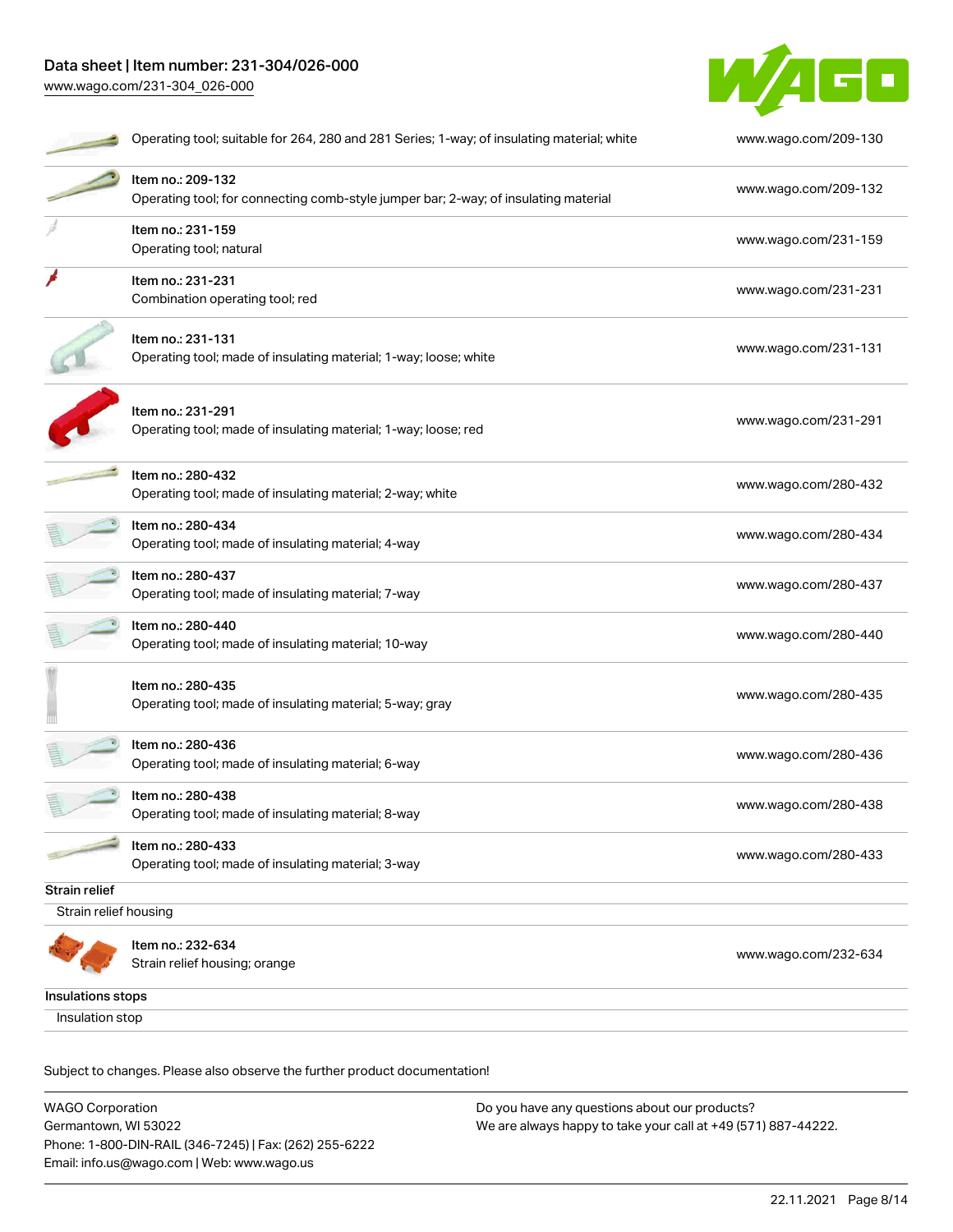# Data sheet | Item number: 231-304/026-000 [www.wago.com/231-304\\_026-000](http://www.wago.com/231-304_026-000)



|                       | Operating tool; suitable for 264, 280 and 281 Series; 1-way; of insulating material; white               | www.wago.com/209-130 |
|-----------------------|----------------------------------------------------------------------------------------------------------|----------------------|
|                       | Item no.: 209-132<br>Operating tool; for connecting comb-style jumper bar; 2-way; of insulating material | www.wago.com/209-132 |
|                       | Item no.: 231-159<br>Operating tool; natural                                                             | www.wago.com/231-159 |
|                       | Item no.: 231-231<br>Combination operating tool; red                                                     | www.wago.com/231-231 |
|                       | Item no.: 231-131<br>Operating tool; made of insulating material; 1-way; loose; white                    | www.wago.com/231-131 |
|                       | Item no.: 231-291<br>Operating tool; made of insulating material; 1-way; loose; red                      | www.wago.com/231-291 |
|                       | Item no.: 280-432<br>Operating tool; made of insulating material; 2-way; white                           | www.wago.com/280-432 |
|                       | Item no.: 280-434<br>Operating tool; made of insulating material; 4-way                                  | www.wago.com/280-434 |
|                       | Item no.: 280-437<br>Operating tool; made of insulating material; 7-way                                  | www.wago.com/280-437 |
|                       | Item no.: 280-440<br>Operating tool; made of insulating material; 10-way                                 | www.wago.com/280-440 |
|                       | Item no.: 280-435<br>Operating tool; made of insulating material; 5-way; gray                            | www.wago.com/280-435 |
|                       | Item no.: 280-436<br>Operating tool; made of insulating material; 6-way                                  | www.wago.com/280-436 |
|                       | Item no.: 280-438<br>Operating tool; made of insulating material; 8-way                                  | www.wago.com/280-438 |
|                       | Item no.: 280-433<br>Operating tool; made of insulating material; 3-way                                  | www.wago.com/280-433 |
| Strain relief         |                                                                                                          |                      |
| Strain relief housing |                                                                                                          |                      |
|                       | Item no.: 232-634<br>Strain relief housing; orange                                                       | www.wago.com/232-634 |
| Insulations stops     |                                                                                                          |                      |
| Insulation stop       |                                                                                                          |                      |

Subject to changes. Please also observe the further product documentation!

WAGO Corporation Germantown, WI 53022 Phone: 1-800-DIN-RAIL (346-7245) | Fax: (262) 255-6222 Email: info.us@wago.com | Web: www.wago.us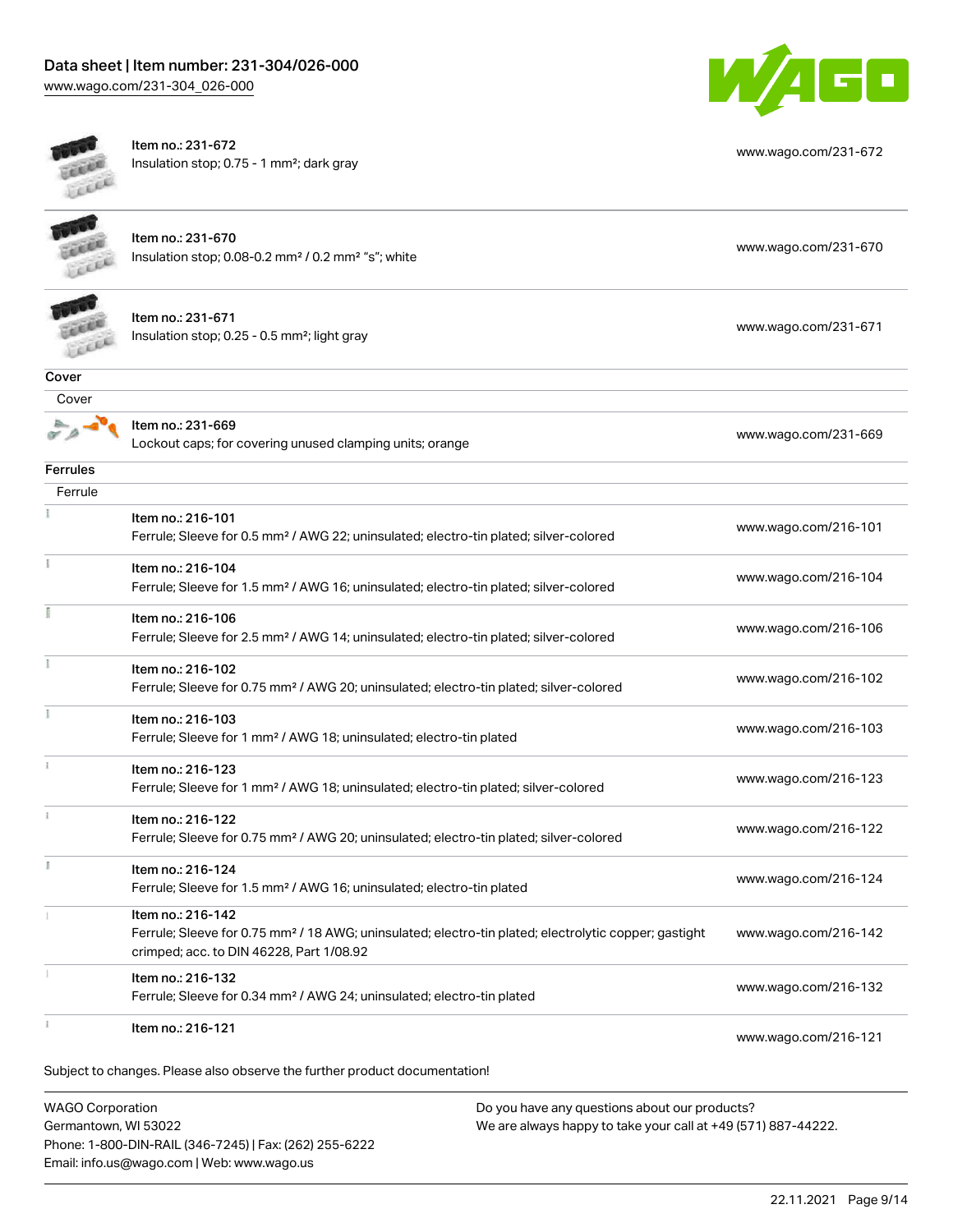10 c,

[www.wago.com/231-672](http://www.wago.com/231-672)



Item no.: 231-672 Insulation stop; 0.75 - 1 mm²; dark gray

| <b>WAGO Corporation</b> | Do you have any questions about our products?                                                                                                                                      |                      |
|-------------------------|------------------------------------------------------------------------------------------------------------------------------------------------------------------------------------|----------------------|
|                         | Subject to changes. Please also observe the further product documentation!                                                                                                         |                      |
|                         | Item no.: 216-121                                                                                                                                                                  | www.wago.com/216-121 |
| 1                       | Item no.: 216-132<br>Ferrule; Sleeve for 0.34 mm <sup>2</sup> / AWG 24; uninsulated; electro-tin plated                                                                            | www.wago.com/216-132 |
|                         | Item no.: 216-142<br>Ferrule; Sleeve for 0.75 mm <sup>2</sup> / 18 AWG; uninsulated; electro-tin plated; electrolytic copper; gastight<br>crimped; acc. to DIN 46228, Part 1/08.92 | www.wago.com/216-142 |
| ĭ.                      | Item no.: 216-124<br>Ferrule; Sleeve for 1.5 mm <sup>2</sup> / AWG 16; uninsulated; electro-tin plated                                                                             | www.wago.com/216-124 |
| ž.                      | Item no.: 216-122<br>Ferrule; Sleeve for 0.75 mm <sup>2</sup> / AWG 20; uninsulated; electro-tin plated; silver-colored                                                            | www.wago.com/216-122 |
|                         | Item no.: 216-123<br>Ferrule; Sleeve for 1 mm <sup>2</sup> / AWG 18; uninsulated; electro-tin plated; silver-colored                                                               | www.wago.com/216-123 |
| î.                      | Item no.: 216-103<br>Ferrule; Sleeve for 1 mm <sup>2</sup> / AWG 18; uninsulated; electro-tin plated                                                                               | www.wago.com/216-103 |
| Ĩ.                      | Item no.: 216-102<br>Ferrule; Sleeve for 0.75 mm <sup>2</sup> / AWG 20; uninsulated; electro-tin plated; silver-colored                                                            | www.wago.com/216-102 |
|                         | Item no.: 216-106<br>Ferrule; Sleeve for 2.5 mm <sup>2</sup> / AWG 14; uninsulated; electro-tin plated; silver-colored                                                             | www.wago.com/216-106 |
| Ŧ.                      | Item no.: 216-104<br>Ferrule; Sleeve for 1.5 mm <sup>2</sup> / AWG 16; uninsulated; electro-tin plated; silver-colored                                                             | www.wago.com/216-104 |
|                         | Item no.: 216-101<br>Ferrule; Sleeve for 0.5 mm <sup>2</sup> / AWG 22; uninsulated; electro-tin plated; silver-colored                                                             | www.wago.com/216-101 |
| Ferrule                 |                                                                                                                                                                                    |                      |
| <b>Ferrules</b>         |                                                                                                                                                                                    |                      |
|                         | Item no.: 231-669<br>Lockout caps; for covering unused clamping units; orange                                                                                                      | www.wago.com/231-669 |
| Cover                   |                                                                                                                                                                                    |                      |
| Cover                   |                                                                                                                                                                                    |                      |
|                         | Item no.: 231-671<br>Insulation stop; 0.25 - 0.5 mm <sup>2</sup> ; light gray                                                                                                      | www.wago.com/231-671 |
|                         | Item no.: 231-670<br>Insulation stop; 0.08-0.2 mm <sup>2</sup> / 0.2 mm <sup>2</sup> "s"; white                                                                                    | www.wago.com/231-670 |
|                         |                                                                                                                                                                                    |                      |

Germantown, WI 53022 Phone: 1-800-DIN-RAIL (346-7245) | Fax: (262) 255-6222 Email: info.us@wago.com | Web: www.wago.us

We are always happy to take your call at +49 (571) 887-44222.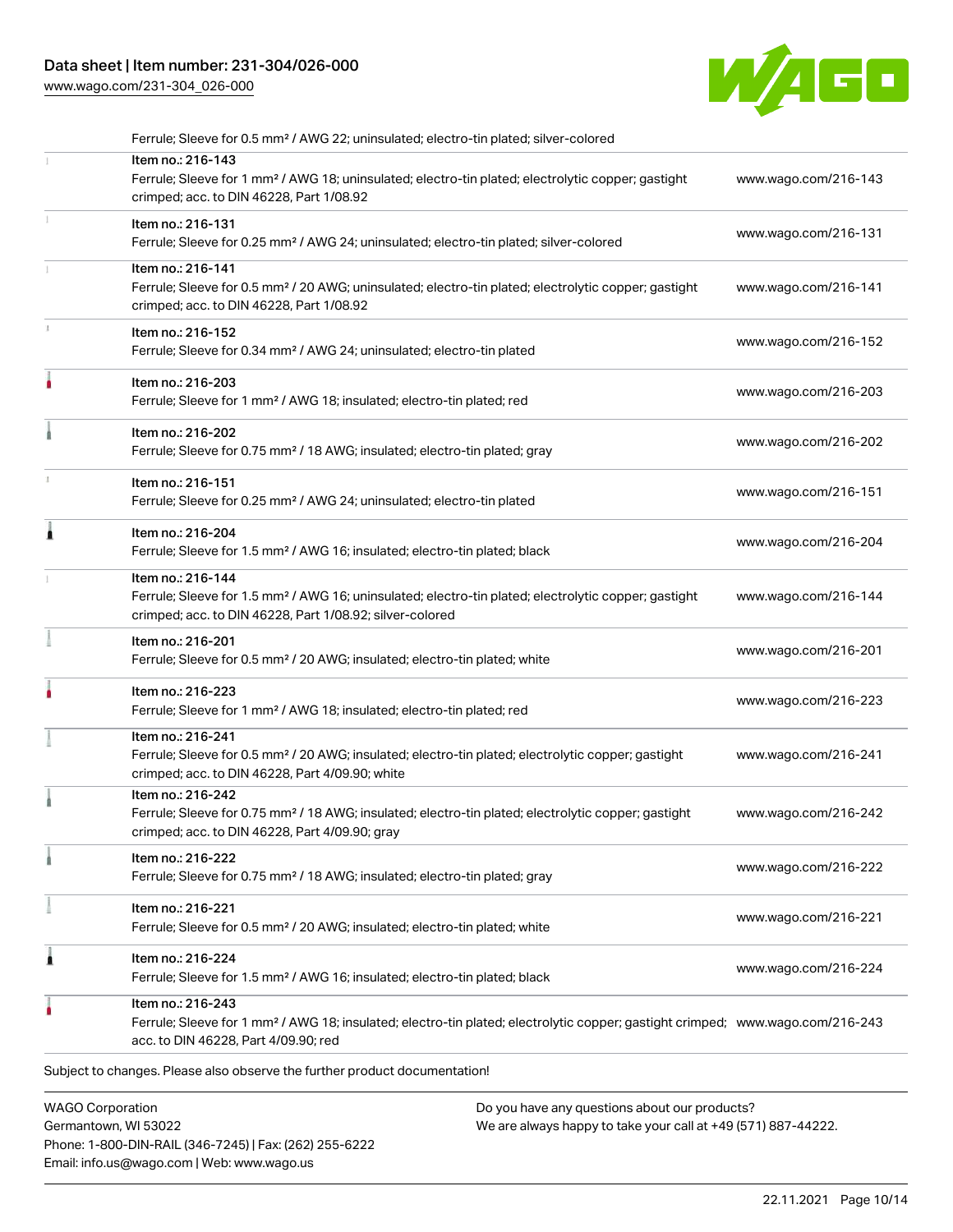# Data sheet | Item number: 231-304/026-000

[www.wago.com/231-304\\_026-000](http://www.wago.com/231-304_026-000)



|   | <b>WAGO Corporation</b><br>Do you have any questions about our products?                                                                                                                                |                      |
|---|---------------------------------------------------------------------------------------------------------------------------------------------------------------------------------------------------------|----------------------|
|   | Subject to changes. Please also observe the further product documentation!                                                                                                                              |                      |
|   | Item no.: 216-243<br>Ferrule; Sleeve for 1 mm <sup>2</sup> / AWG 18; insulated; electro-tin plated; electrolytic copper; gastight crimped; www.wago.com/216-243<br>acc. to DIN 46228, Part 4/09.90; red |                      |
| 1 | Item no.: 216-224<br>Ferrule; Sleeve for 1.5 mm <sup>2</sup> / AWG 16; insulated; electro-tin plated; black                                                                                             | www.wago.com/216-224 |
|   | Item no.: 216-221<br>Ferrule; Sleeve for 0.5 mm <sup>2</sup> / 20 AWG; insulated; electro-tin plated; white                                                                                             | www.wago.com/216-221 |
|   | Item no.: 216-222<br>Ferrule; Sleeve for 0.75 mm <sup>2</sup> / 18 AWG; insulated; electro-tin plated; gray                                                                                             | www.wago.com/216-222 |
|   | Item no.: 216-242<br>Ferrule; Sleeve for 0.75 mm <sup>2</sup> / 18 AWG; insulated; electro-tin plated; electrolytic copper; gastight<br>crimped; acc. to DIN 46228, Part 4/09.90; gray                  | www.wago.com/216-242 |
|   | Item no.: 216-241<br>Ferrule; Sleeve for 0.5 mm <sup>2</sup> / 20 AWG; insulated; electro-tin plated; electrolytic copper; gastight<br>crimped; acc. to DIN 46228, Part 4/09.90; white                  | www.wago.com/216-241 |
|   | Item no.: 216-223<br>Ferrule; Sleeve for 1 mm <sup>2</sup> / AWG 18; insulated; electro-tin plated; red                                                                                                 | www.wago.com/216-223 |
|   | Item no.: 216-201<br>Ferrule; Sleeve for 0.5 mm <sup>2</sup> / 20 AWG; insulated; electro-tin plated; white                                                                                             | www.wago.com/216-201 |
|   | Item no.: 216-144<br>Ferrule; Sleeve for 1.5 mm <sup>2</sup> / AWG 16; uninsulated; electro-tin plated; electrolytic copper; gastight<br>crimped; acc. to DIN 46228, Part 1/08.92; silver-colored       | www.wago.com/216-144 |
| Â | Item no.: 216-204<br>Ferrule; Sleeve for 1.5 mm <sup>2</sup> / AWG 16; insulated; electro-tin plated; black                                                                                             | www.wago.com/216-204 |
|   | Item no.: 216-151<br>Ferrule; Sleeve for 0.25 mm <sup>2</sup> / AWG 24; uninsulated; electro-tin plated                                                                                                 | www.wago.com/216-151 |
|   | Item no.: 216-202<br>Ferrule; Sleeve for 0.75 mm <sup>2</sup> / 18 AWG; insulated; electro-tin plated; gray                                                                                             | www.wago.com/216-202 |
|   | Item no.: 216-203<br>Ferrule; Sleeve for 1 mm <sup>2</sup> / AWG 18; insulated; electro-tin plated; red                                                                                                 | www.wago.com/216-203 |
|   | Item no.: 216-152<br>Ferrule; Sleeve for 0.34 mm <sup>2</sup> / AWG 24; uninsulated; electro-tin plated                                                                                                 | www.wago.com/216-152 |
|   | Item no.: 216-141<br>Ferrule; Sleeve for 0.5 mm <sup>2</sup> / 20 AWG; uninsulated; electro-tin plated; electrolytic copper; gastight<br>crimped; acc. to DIN 46228, Part 1/08.92                       | www.wago.com/216-141 |
|   | Item no.: 216-131<br>Ferrule; Sleeve for 0.25 mm <sup>2</sup> / AWG 24; uninsulated; electro-tin plated; silver-colored                                                                                 | www.wago.com/216-131 |
|   | Item no.: 216-143<br>Ferrule; Sleeve for 1 mm <sup>2</sup> / AWG 18; uninsulated; electro-tin plated; electrolytic copper; gastight<br>crimped; acc. to DIN 46228, Part 1/08.92                         | www.wago.com/216-143 |

Germantown, WI 53022 Phone: 1-800-DIN-RAIL (346-7245) | Fax: (262) 255-6222 Email: info.us@wago.com | Web: www.wago.us

We are always happy to take your call at +49 (571) 887-44222.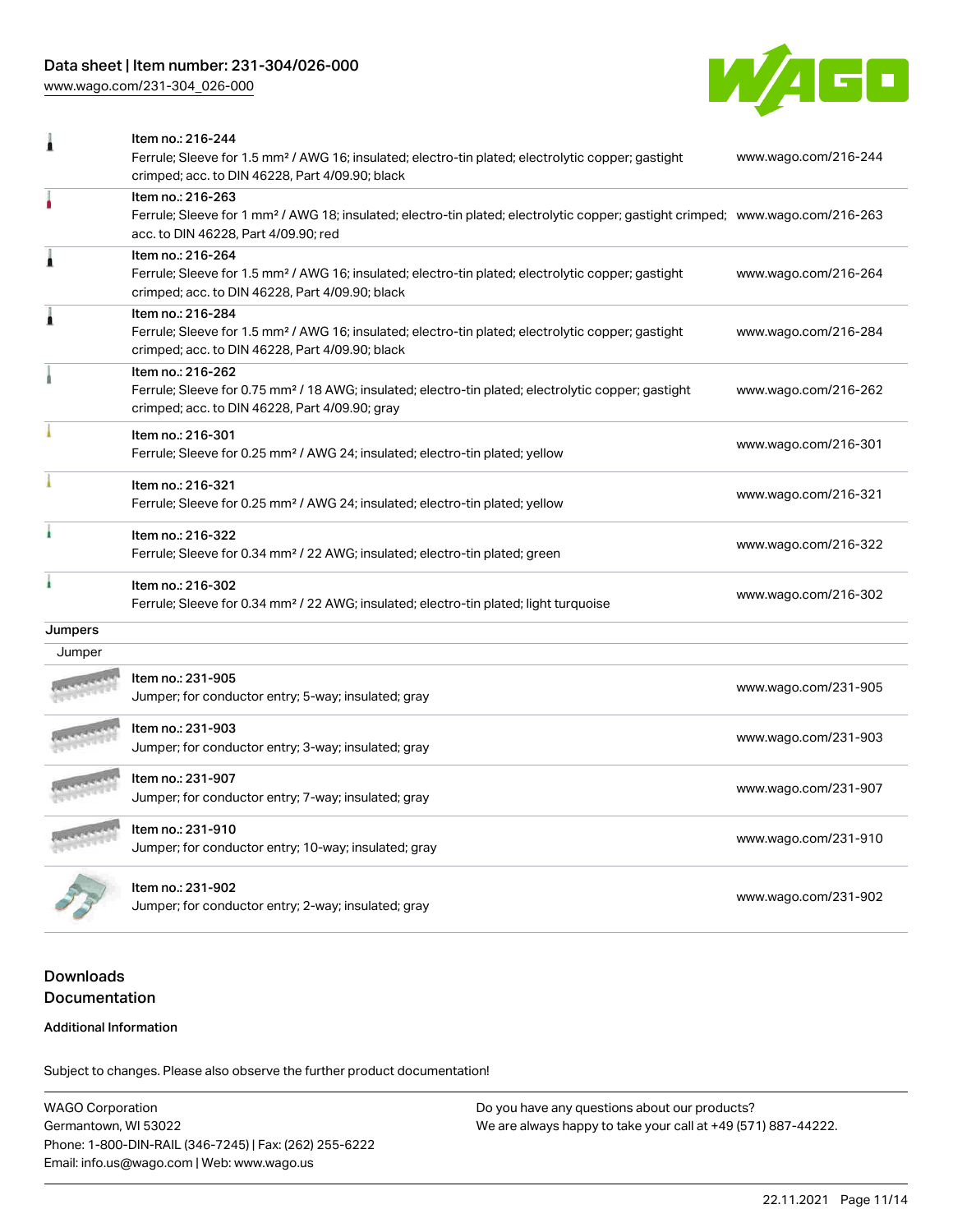# Data sheet | Item number: 231-304/026-000

[www.wago.com/231-304\\_026-000](http://www.wago.com/231-304_026-000)



|                   | Item no.: 216-244<br>Ferrule; Sleeve for 1.5 mm <sup>2</sup> / AWG 16; insulated; electro-tin plated; electrolytic copper; gastight<br>crimped; acc. to DIN 46228, Part 4/09.90; black                  | www.wago.com/216-244 |
|-------------------|---------------------------------------------------------------------------------------------------------------------------------------------------------------------------------------------------------|----------------------|
|                   | Item no.: 216-263<br>Ferrule; Sleeve for 1 mm <sup>2</sup> / AWG 18; insulated; electro-tin plated; electrolytic copper; gastight crimped; www.wago.com/216-263<br>acc. to DIN 46228, Part 4/09.90; red |                      |
| Â                 | Item no.: 216-264<br>Ferrule; Sleeve for 1.5 mm <sup>2</sup> / AWG 16; insulated; electro-tin plated; electrolytic copper; gastight<br>crimped; acc. to DIN 46228, Part 4/09.90; black                  | www.wago.com/216-264 |
| Å                 | Item no.: 216-284<br>Ferrule; Sleeve for 1.5 mm <sup>2</sup> / AWG 16; insulated; electro-tin plated; electrolytic copper; gastight<br>crimped; acc. to DIN 46228, Part 4/09.90; black                  | www.wago.com/216-284 |
| à                 | Item no.: 216-262<br>Ferrule; Sleeve for 0.75 mm <sup>2</sup> / 18 AWG; insulated; electro-tin plated; electrolytic copper; gastight<br>crimped; acc. to DIN 46228, Part 4/09.90; gray                  | www.wago.com/216-262 |
|                   | Item no.: 216-301<br>Ferrule; Sleeve for 0.25 mm <sup>2</sup> / AWG 24; insulated; electro-tin plated; yellow                                                                                           | www.wago.com/216-301 |
|                   | Item no.: 216-321<br>Ferrule; Sleeve for 0.25 mm <sup>2</sup> / AWG 24; insulated; electro-tin plated; yellow                                                                                           | www.wago.com/216-321 |
| ł                 | Item no.: 216-322<br>Ferrule; Sleeve for 0.34 mm <sup>2</sup> / 22 AWG; insulated; electro-tin plated; green                                                                                            | www.wago.com/216-322 |
|                   | Item no.: 216-302<br>Ferrule; Sleeve for 0.34 mm <sup>2</sup> / 22 AWG; insulated; electro-tin plated; light turquoise                                                                                  | www.wago.com/216-302 |
| Jumpers<br>Jumper |                                                                                                                                                                                                         |                      |
|                   | Item no.: 231-905<br>Jumper; for conductor entry; 5-way; insulated; gray                                                                                                                                | www.wago.com/231-905 |
|                   | Item no.: 231-903<br>Jumper; for conductor entry; 3-way; insulated; gray                                                                                                                                | www.wago.com/231-903 |
|                   | Item no.: 231-907<br>Jumper; for conductor entry; 7-way; insulated; gray                                                                                                                                | www.wago.com/231-907 |
|                   | Item no.: 231-910<br>Jumper; for conductor entry; 10-way; insulated; gray                                                                                                                               | www.wago.com/231-910 |
|                   | Item no.: 231-902<br>Jumper; for conductor entry; 2-way; insulated; gray                                                                                                                                | www.wago.com/231-902 |

# Downloads **Documentation**

#### Additional Information

Subject to changes. Please also observe the further product documentation!

WAGO Corporation Germantown, WI 53022 Phone: 1-800-DIN-RAIL (346-7245) | Fax: (262) 255-6222 Email: info.us@wago.com | Web: www.wago.us Do you have any questions about our products? We are always happy to take your call at +49 (571) 887-44222.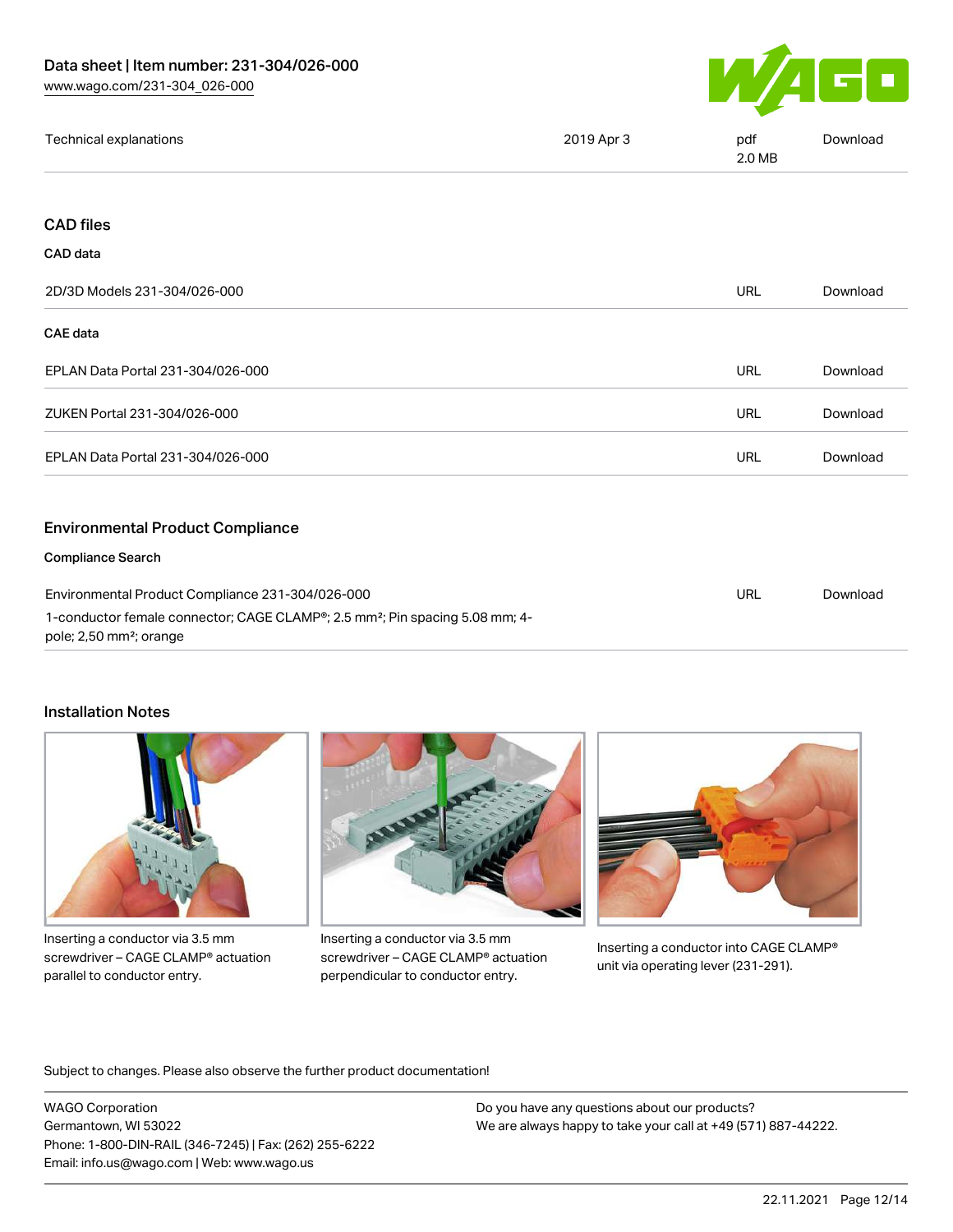

| Technical explanations | 2019 Apr 3 | pdf<br>2.0 MB | Download |
|------------------------|------------|---------------|----------|
|------------------------|------------|---------------|----------|

## CAD files

#### CAD data

| 2D/3D Models 231-304/026-000                                                                                                                              | <b>URL</b> | Download |
|-----------------------------------------------------------------------------------------------------------------------------------------------------------|------------|----------|
| <b>CAE</b> data                                                                                                                                           |            |          |
| EPLAN Data Portal 231-304/026-000                                                                                                                         | <b>URL</b> | Download |
| ZUKEN Portal 231-304/026-000                                                                                                                              | <b>URL</b> | Download |
| EPLAN Data Portal 231-304/026-000                                                                                                                         | <b>URL</b> | Download |
| <b>Environmental Product Compliance</b>                                                                                                                   |            |          |
| <b>Compliance Search</b>                                                                                                                                  |            |          |
| Environmental Product Compliance 231-304/026-000<br>1-conductor female connector; CAGE CLAMP <sup>®</sup> ; 2.5 mm <sup>2</sup> ; Pin spacing 5.08 mm; 4- | <b>URL</b> | Download |

pole; 2,50 mm²; orange

## Installation Notes



Inserting a conductor via 3.5 mm screwdriver – CAGE CLAMP® actuation parallel to conductor entry.



Inserting a conductor via 3.5 mm screwdriver – CAGE CLAMP® actuation perpendicular to conductor entry.



Inserting a conductor into CAGE CLAMP® unit via operating lever (231-291).

Subject to changes. Please also observe the further product documentation!

WAGO Corporation Germantown, WI 53022 Phone: 1-800-DIN-RAIL (346-7245) | Fax: (262) 255-6222 Email: info.us@wago.com | Web: www.wago.us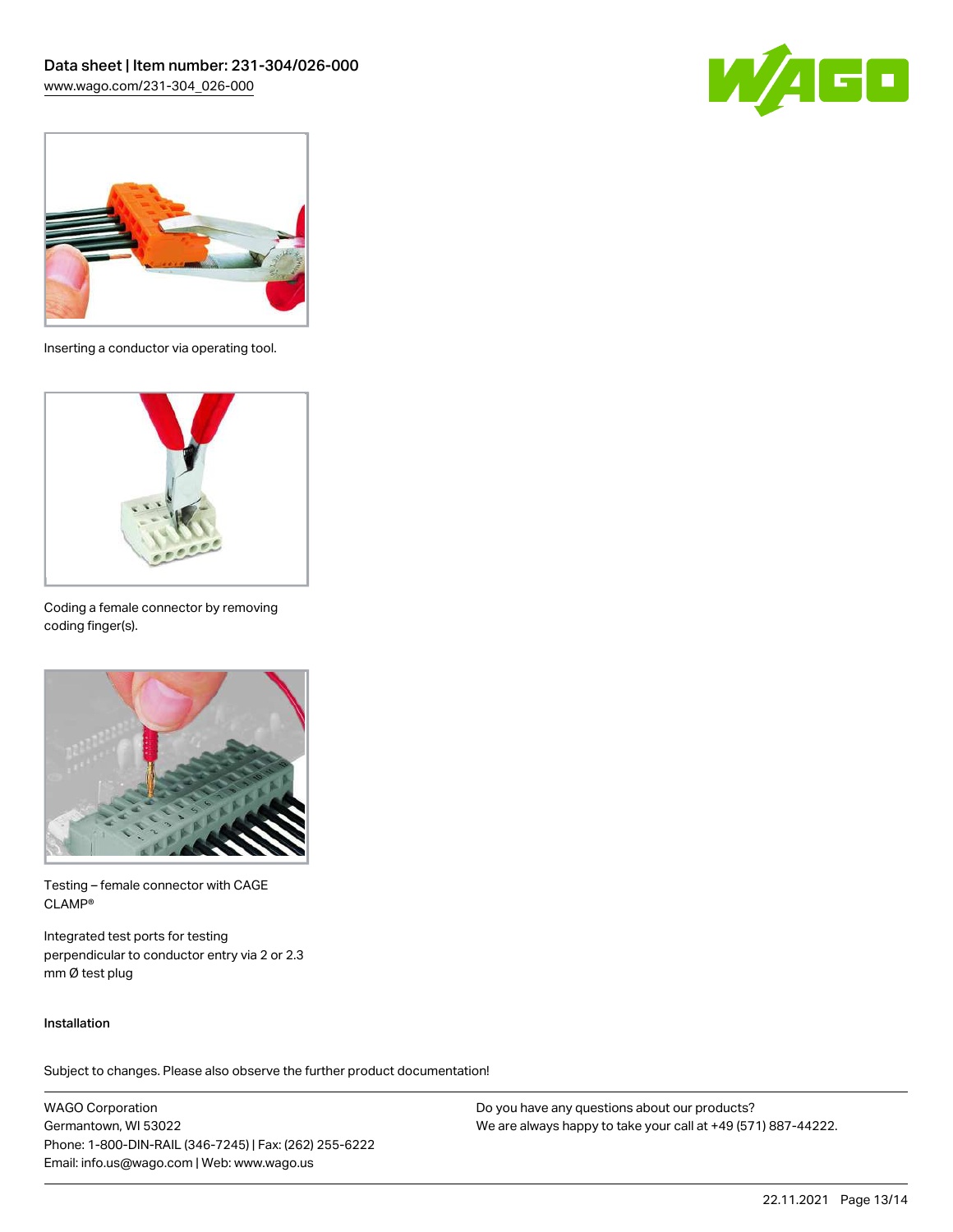



Inserting a conductor via operating tool.



Coding a female connector by removing coding finger(s).



Testing – female connector with CAGE CLAMP®

Integrated test ports for testing perpendicular to conductor entry via 2 or 2.3 mm Ø test plug

#### Installation

Subject to changes. Please also observe the further product documentation!

WAGO Corporation Germantown, WI 53022 Phone: 1-800-DIN-RAIL (346-7245) | Fax: (262) 255-6222 Email: info.us@wago.com | Web: www.wago.us